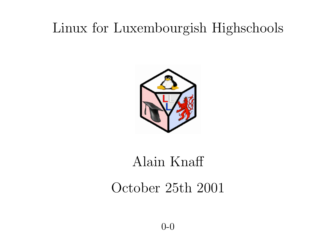### Linux for Luxembourgish Highschools



## Alain Knaff

### October 25th 2001

0-0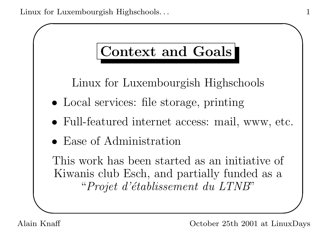## Context and Goals

Linux for Luxembourgish Highschools

- Local services: file storage, printing
- Full-featured internet access: mail, www, etc.
- Ease of Administration

This work has been started as an initiative of Kiwanis club Esch, and partially funded as a "Projet d'établissement du LTNB"

✫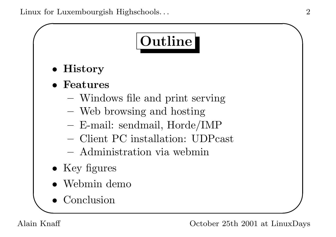

• History

✬

- **Features** 
	- Windows file and print serving
	- Web browsing and hosting
	- E-mail: sendmail, Horde/IMP
	- Client PC installation: UDPcast
	- Administration via webmin
- Key figures
- Webmin demo
- Conclusion

✫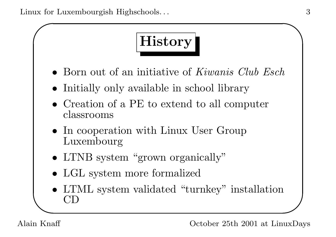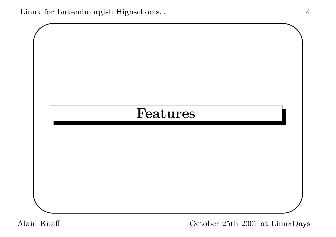Linux for Luxembourgish Highschools... 4

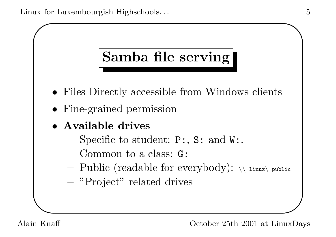

- Files Directly accessible from Windows clients
- Fine-grained permission
- Available drives
	- Specific to student:  $P:$ ,  $S:$  and  $W:$ .
	- Common to a class: G:
	- Public (readable for everybody):  $\setminus$  linux $\setminus$  public
	- "Project" related drives

Alain Knaff October 25th 2001 at LinuxDays

✫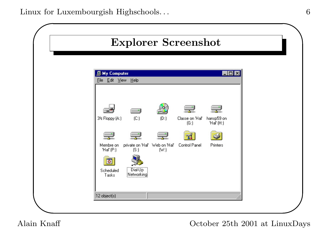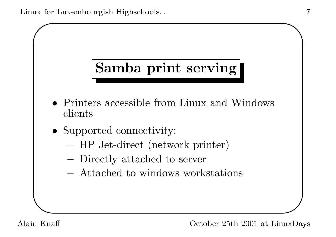

- Printers accessible from Linux and Windows clients
- Supported connectivity:
	- HP Jet-direct (network printer)
	- Directly attached to server
	- Attached to windows workstations

✫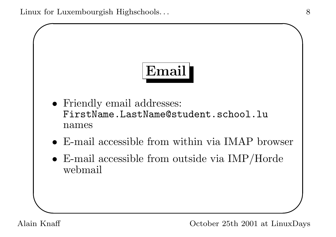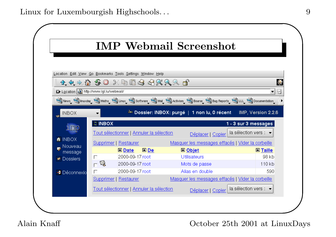|                                           |               |                                                            | <b>IMP Webmail Screenshot</b>                                                                        |                       |
|-------------------------------------------|---------------|------------------------------------------------------------|------------------------------------------------------------------------------------------------------|-----------------------|
|                                           |               | Location Edit View Go Bookmarks Tools Settings Window Help |                                                                                                      |                       |
|                                           |               | <b>44 → 6 50</b> X 10 6 4 4 3 3 3 6                        |                                                                                                      |                       |
| De Location a) http://www.lgl.lu/webmail/ |               |                                                            |                                                                                                      | ⊡                     |
|                                           |               |                                                            | S News Sinuxday S Maths Silinux Software S Mail S Activism Sourse S Bug Reports Sill S Documentation |                       |
|                                           |               |                                                            | <sup>க்க</sup> Dossier: INBOX: purgé   1 non lu, 0 récent __                                         | IMP, Version 2.2.6    |
| <b>MBOX</b>                               |               |                                                            |                                                                                                      |                       |
|                                           | <b>CINBOX</b> |                                                            |                                                                                                      | 1 - 3 sur 3 messages  |
|                                           |               |                                                            |                                                                                                      |                       |
| <b>1MO</b>                                |               | Tout sélectionner   Annuler la sélection                   | Déplacer   Copier                                                                                    | la sélection vers : • |
| <b>A</b> INBOX                            |               | Supprimer   Restaurer                                      | Masquer les messages effacés   Vider la corbeille                                                    |                       |
| Nouveau<br>message                        |               | De<br>$\blacksquare$ Date                                  | $\Box$ Objet                                                                                         | <b>A</b> Taille       |
| <b>Dossiers</b>                           | $\Box$        | 2000-09-17 root                                            | <b>Utilisateurs</b>                                                                                  | 98 kb                 |
|                                           | $\boxtimes$   | 2000-09-17 root                                            | Mots de passe                                                                                        | 110 kb                |
| → Déconnexio                              | Е             | 2000-09-17 root                                            | Alias en double                                                                                      | 590                   |
|                                           |               | Supprimer   Restaurer                                      | Masquer les messages effacés   Vider la corbeille                                                    |                       |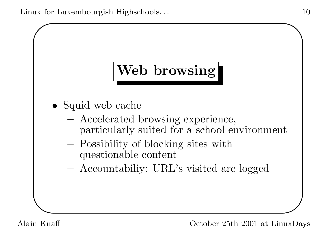## Web browsing

- Squid web cache
	- Accelerated browsing experience, particularly suited for a school environment
	- Possibility of blocking sites with questionable content
	- Accountabiliy: URL's visited are logged

✫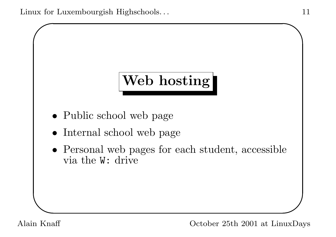# Web hosting

- Public school web page
- Internal school web page
- Personal web pages for each student, accessible via the W: drive

✫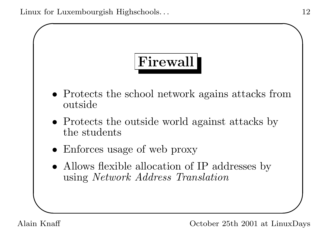Linux for Luxembourgish Highschools... 12

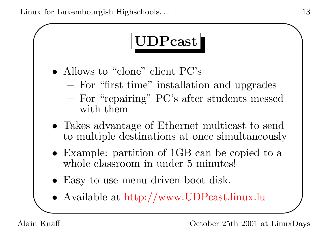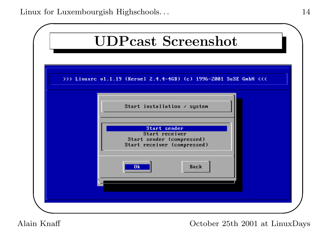![](_page_14_Figure_1.jpeg)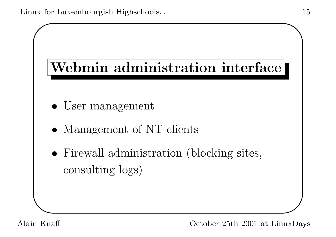![](_page_15_Figure_1.jpeg)